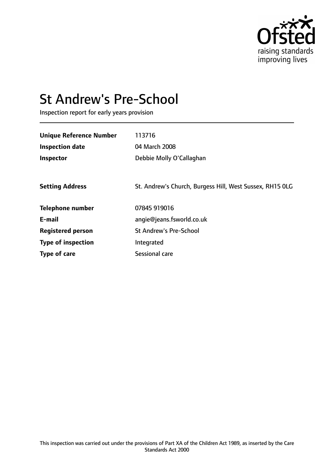

# St Andrew's Pre-School

Inspection report for early years provision

| <b>Unique Reference Number</b> | 113716                                                   |
|--------------------------------|----------------------------------------------------------|
| <b>Inspection date</b>         | 04 March 2008                                            |
| <b>Inspector</b>               | Debbie Molly O'Callaghan                                 |
|                                |                                                          |
| <b>Setting Address</b>         | St. Andrew's Church, Burgess Hill, West Sussex, RH15 OLG |
| <b>Telephone number</b>        | 07845 919016                                             |
| E-mail                         | angie@jeans.fsworld.co.uk                                |
| <b>Registered person</b>       | <b>St Andrew's Pre-School</b>                            |
| <b>Type of inspection</b>      | Integrated                                               |
| <b>Type of care</b>            | Sessional care                                           |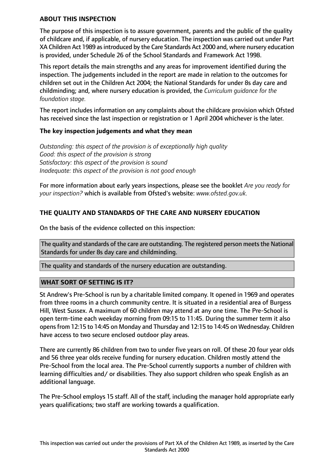#### **ABOUT THIS INSPECTION**

The purpose of this inspection is to assure government, parents and the public of the quality of childcare and, if applicable, of nursery education. The inspection was carried out under Part XA Children Act 1989 asintroduced by the Care Standards Act 2000 and, where nursery education is provided, under Schedule 26 of the School Standards and Framework Act 1998.

This report details the main strengths and any areas for improvement identified during the inspection. The judgements included in the report are made in relation to the outcomes for children set out in the Children Act 2004; the National Standards for under 8s day care and childminding; and, where nursery education is provided, the *Curriculum guidance for the foundation stage.*

The report includes information on any complaints about the childcare provision which Ofsted has received since the last inspection or registration or 1 April 2004 whichever is the later.

## **The key inspection judgements and what they mean**

*Outstanding: this aspect of the provision is of exceptionally high quality Good: this aspect of the provision is strong Satisfactory: this aspect of the provision is sound Inadequate: this aspect of the provision is not good enough*

For more information about early years inspections, please see the booklet *Are you ready for your inspection?* which is available from Ofsted's website: *www.ofsted.gov.uk.*

# **THE QUALITY AND STANDARDS OF THE CARE AND NURSERY EDUCATION**

On the basis of the evidence collected on this inspection:

The quality and standards of the care are outstanding. The registered person meets the National Standards for under 8s day care and childminding.

The quality and standards of the nursery education are outstanding.

## **WHAT SORT OF SETTING IS IT?**

St Andrew's Pre-School is run by a charitable limited company. It opened in 1969 and operates from three rooms in a church community centre. It is situated in a residential area of Burgess Hill, West Sussex. A maximum of 60 children may attend at any one time. The Pre-School is open term-time each weekday morning from 09:15 to 11:45. During the summer term it also opensfrom 12:15 to 14:45 on Monday and Thursday and 12:15 to 14:45 on Wednesday. Children have access to two secure enclosed outdoor play areas.

There are currently 86 children from two to under five years on roll. Of these 20 four year olds and 56 three year olds receive funding for nursery education. Children mostly attend the Pre-School from the local area. The Pre-School currently supports a number of children with learning difficulties and/ or disabilities. They also support children who speak English as an additional language.

The Pre-School employs 15 staff. All of the staff, including the manager hold appropriate early years qualifications; two staff are working towards a qualification.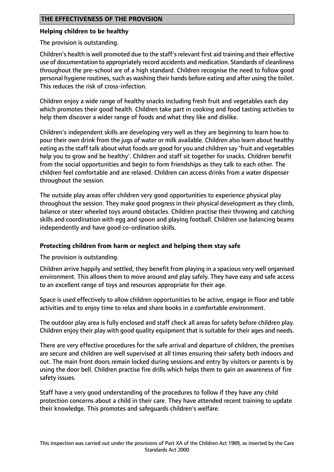# **Helping children to be healthy**

The provision is outstanding.

Children's health is well promoted due to the staff's relevant first aid training and their effective use of documentation to appropriately record accidents and medication. Standards of cleanliness throughout the pre-school are of a high standard. Children recognise the need to follow good personal hygiene routines, such as washing their hands before eating and after using the toilet. This reduces the risk of cross-infection.

Children enjoy a wide range of healthy snacks including fresh fruit and vegetables each day which promotes their good health. Children take part in cooking and food tasting activities to help them discover a wider range of foods and what they like and dislike.

Children's independent skills are developing very well as they are beginning to learn how to pour their own drink from the jugs of water or milk available. Children also learn about healthy eating asthe staff talk about what foods are good for you and children say 'fruit and vegetables help you to grow and be healthy'. Children and staff sit together for snacks. Children benefit from the social opportunities and begin to form friendships as they talk to each other. The children feel comfortable and are relaxed. Children can access drinks from a water dispenser throughout the session.

The outside play areas offer children very good opportunities to experience physical play throughout the session. They make good progress in their physical development as they climb, balance or steer wheeled toys around obstacles. Children practise their throwing and catching skills and coordination with egg and spoon and playing football. Children use balancing beams independently and have good co-ordination skills.

# **Protecting children from harm or neglect and helping them stay safe**

The provision is outstanding.

Children arrive happily and settled, they benefit from playing in a spacious very well organised environment. This allows them to move around and play safely. They have easy and safe access to an excellent range of toys and resources appropriate for their age.

Space is used effectively to allow children opportunities to be active, engage in floor and table activities and to enjoy time to relax and share books in a comfortable environment.

The outdoor play area is fully enclosed and staff check all areas for safety before children play. Children enjoy their play with good quality equipment that is suitable for their ages and needs.

There are very effective procedures for the safe arrival and departure of children, the premises are secure and children are well supervised at all times ensuring their safety both indoors and out. The main front doors remain locked during sessions and entry by visitors or parents is by using the door bell. Children practise fire drills which helps them to gain an awareness of fire safety issues.

Staff have a very good understanding of the procedures to follow if they have any child protection concerns about a child in their care. They have attended recent training to update their knowledge. This promotes and safeguards children's welfare.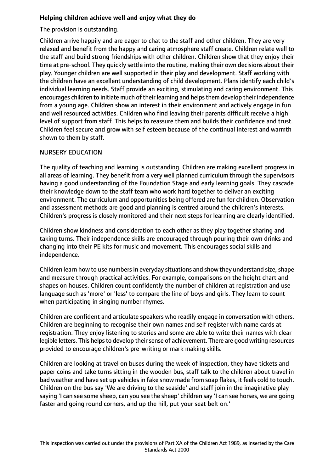# **Helping children achieve well and enjoy what they do**

## The provision is outstanding.

Children arrive happily and are eager to chat to the staff and other children. They are very relaxed and benefit from the happy and caring atmosphere staff create. Children relate well to the staff and build strong friendships with other children. Children show that they enjoy their time at pre-school. They quickly settle into the routine, making their own decisions about their play. Younger children are well supported in their play and development. Staff working with the children have an excellent understanding of child development. Plans identify each child's individual learning needs. Staff provide an exciting, stimulating and caring environment. This encourages children to initiate much of their learning and helps them develop their independence from a young age. Children show an interest in their environment and actively engage in fun and well resourced activities. Children who find leaving their parents difficult receive a high level of support from staff. This helps to reassure them and builds their confidence and trust. Children feel secure and grow with self esteem because of the continual interest and warmth shown to them by staff.

# NURSERY EDUCATION

The quality of teaching and learning is outstanding. Children are making excellent progress in all areas of learning. They benefit from a very well planned curriculum through the supervisors having a good understanding of the Foundation Stage and early learning goals. They cascade their knowledge down to the staff team who work hard together to deliver an exciting environment. The curriculum and opportunities being offered are fun for children. Observation and assessment methods are good and planning is centred around the children's interests. Children's progress is closely monitored and their next steps for learning are clearly identified.

Children show kindness and consideration to each other as they play together sharing and taking turns. Their independence skills are encouraged through pouring their own drinks and changing into their PE kits for music and movement. This encourages social skills and independence.

Children learn how to use numbers in everyday situations and show they understand size, shape and measure through practical activities. For example, comparisons on the height chart and shapes on houses. Children count confidently the number of children at registration and use language such as 'more' or 'less' to compare the line of boys and girls. They learn to count when participating in singing number rhymes.

Children are confident and articulate speakers who readily engage in conversation with others. Children are beginning to recognise their own names and self register with name cards at registration. They enjoy listening to stories and some are able to write their names with clear legible letters. This helps to develop their sense of achievement. There are good writing resources provided to encourage children's pre-writing or mark making skills.

Children are looking at travel on buses during the week of inspection, they have tickets and paper coins and take turns sitting in the wooden bus, staff talk to the children about travel in bad weather and have set up vehiclesin fake snow made from soap flakes, it feels cold to touch. Children on the bus say 'We are driving to the seaside' and staff join in the imaginative play saying 'I can see some sheep, can you see the sheep' children say 'I can see horses, we are going faster and going round corners, and up the hill, put your seat belt on.'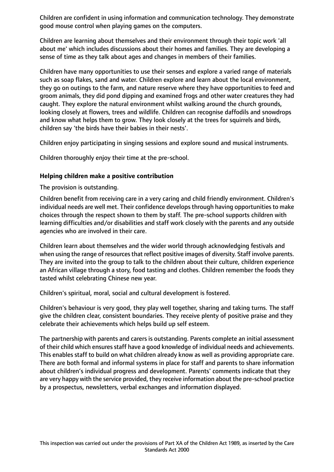Children are confident in using information and communication technology. They demonstrate good mouse control when playing games on the computers.

Children are learning about themselves and their environment through their topic work 'all about me' which includes discussions about their homes and families. They are developing a sense of time as they talk about ages and changes in members of their families.

Children have many opportunities to use their senses and explore a varied range of materials such as soap flakes, sand and water. Children explore and learn about the local environment, they go on outings to the farm, and nature reserve where they have opportunities to feed and groom animals, they did pond dipping and examined frogs and other water creatures they had caught. They explore the natural environment whilst walking around the church grounds, looking closely at flowers, trees and wildlife. Children can recognise daffodils and snowdrops and know what helps them to grow. They look closely at the trees for squirrels and birds, children say 'the birds have their babies in their nests'.

Children enjoy participating in singing sessions and explore sound and musical instruments.

Children thoroughly enjoy their time at the pre-school.

#### **Helping children make a positive contribution**

The provision is outstanding.

Children benefit from receiving care in a very caring and child friendly environment. Children's individual needs are well met. Their confidence develops through having opportunities to make choices through the respect shown to them by staff. The pre-school supports children with learning difficulties and/or disabilities and staff work closely with the parents and any outside agencies who are involved in their care.

Children learn about themselves and the wider world through acknowledging festivals and when using the range of resources that reflect positive images of diversity. Staff involve parents. They are invited into the group to talk to the children about their culture, children experience an African village through a story, food tasting and clothes. Children remember the foods they tasted whilst celebrating Chinese new year.

Children's spiritual, moral, social and cultural development is fostered.

Children's behaviour is very good, they play well together, sharing and taking turns. The staff give the children clear, consistent boundaries. They receive plenty of positive praise and they celebrate their achievements which helps build up self esteem.

The partnership with parents and carers is outstanding. Parents complete an initial assessment of their child which ensures staff have a good knowledge of individual needs and achievements. This enables staff to build on what children already know as well as providing appropriate care. There are both formal and informal systems in place for staff and parents to share information about children's individual progress and development. Parents' comments indicate that they are very happy with the service provided, they receive information about the pre-school practice by a prospectus, newsletters, verbal exchanges and information displayed.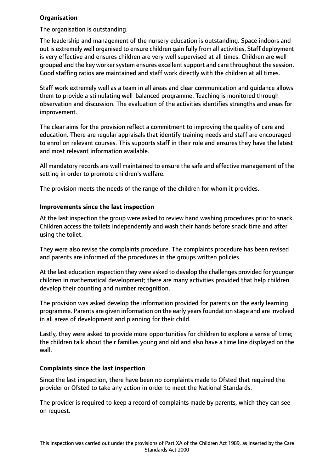## **Organisation**

The organisation is outstanding.

The leadership and management of the nursery education is outstanding. Space indoors and out is extremely well organised to ensure children gain fully from all activities. Staff deployment is very effective and ensures children are very well supervised at all times. Children are well grouped and the key worker system ensures excellent support and care throughout the session. Good staffing ratios are maintained and staff work directly with the children at all times.

Staff work extremely well as a team in all areas and clear communication and guidance allows them to provide a stimulating well-balanced programme. Teaching is monitored through observation and discussion. The evaluation of the activities identifies strengths and areas for improvement.

The clear aims for the provision reflect a commitment to improving the quality of care and education. There are regular appraisals that identify training needs and staff are encouraged to enrol on relevant courses. This supports staff in their role and ensures they have the latest and most relevant information available.

All mandatory records are well maintained to ensure the safe and effective management of the setting in order to promote children's welfare.

The provision meets the needs of the range of the children for whom it provides.

## **Improvements since the last inspection**

At the last inspection the group were asked to review hand washing procedures prior to snack. Children access the toilets independently and wash their hands before snack time and after using the toilet.

They were also revise the complaints procedure. The complaints procedure has been revised and parents are informed of the procedures in the groups written policies.

At the last education inspection they were asked to develop the challenges provided for younger children in mathematical development; there are many activities provided that help children develop their counting and number recognition.

The provision was asked develop the information provided for parents on the early learning programme. Parents are given information on the early years foundation stage and are involved in all areas of development and planning for their child.

Lastly, they were asked to provide more opportunities for children to explore a sense of time; the children talk about their families young and old and also have a time line displayed on the wall.

## **Complaints since the last inspection**

Since the last inspection, there have been no complaints made to Ofsted that required the provider or Ofsted to take any action in order to meet the National Standards.

The provider is required to keep a record of complaints made by parents, which they can see on request.